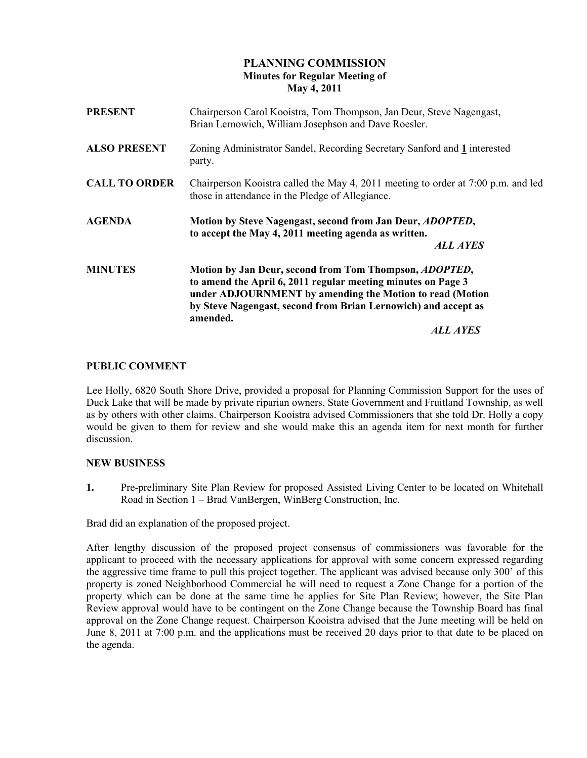## PLANNING COMMISSION Minutes for Regular Meeting of May 4, 2011

| <b>PRESENT</b>       | Chairperson Carol Kooistra, Tom Thompson, Jan Deur, Steve Nagengast,<br>Brian Lernowich, William Josephson and Dave Roesler.                                                                                                                                                 |
|----------------------|------------------------------------------------------------------------------------------------------------------------------------------------------------------------------------------------------------------------------------------------------------------------------|
| <b>ALSO PRESENT</b>  | Zoning Administrator Sandel, Recording Secretary Sanford and 1 interested<br>party.                                                                                                                                                                                          |
| <b>CALL TO ORDER</b> | Chairperson Kooistra called the May 4, 2011 meeting to order at 7:00 p.m. and led<br>those in attendance in the Pledge of Allegiance.                                                                                                                                        |
| <b>AGENDA</b>        | Motion by Steve Nagengast, second from Jan Deur, ADOPTED,<br>to accept the May 4, 2011 meeting agenda as written.<br><b>ALL AYES</b>                                                                                                                                         |
| <b>MINUTES</b>       | Motion by Jan Deur, second from Tom Thompson, ADOPTED,<br>to amend the April 6, 2011 regular meeting minutes on Page 3<br>under ADJOURNMENT by amending the Motion to read (Motion<br>by Steve Nagengast, second from Brian Lernowich) and accept as<br>amended.<br>ALL AYES |

## PUBLIC COMMENT

Lee Holly, 6820 South Shore Drive, provided a proposal for Planning Commission Support for the uses of Duck Lake that will be made by private riparian owners, State Government and Fruitland Township, as well as by others with other claims. Chairperson Kooistra advised Commissioners that she told Dr. Holly a copy would be given to them for review and she would make this an agenda item for next month for further discussion.

### NEW BUSINESS

1. Pre-preliminary Site Plan Review for proposed Assisted Living Center to be located on Whitehall Road in Section 1 – Brad VanBergen, WinBerg Construction, Inc.

Brad did an explanation of the proposed project.

After lengthy discussion of the proposed project consensus of commissioners was favorable for the applicant to proceed with the necessary applications for approval with some concern expressed regarding the aggressive time frame to pull this project together. The applicant was advised because only 300' of this property is zoned Neighborhood Commercial he will need to request a Zone Change for a portion of the property which can be done at the same time he applies for Site Plan Review; however, the Site Plan Review approval would have to be contingent on the Zone Change because the Township Board has final approval on the Zone Change request. Chairperson Kooistra advised that the June meeting will be held on June 8, 2011 at 7:00 p.m. and the applications must be received 20 days prior to that date to be placed on the agenda.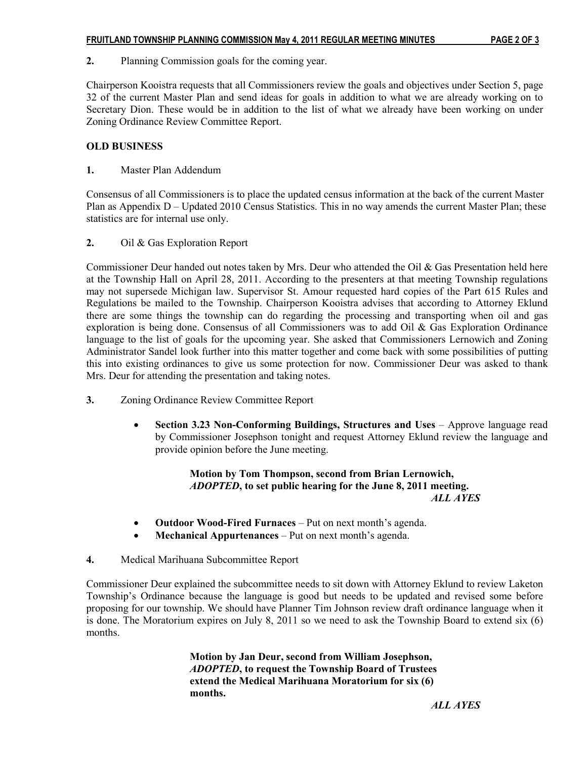2. Planning Commission goals for the coming year.

Chairperson Kooistra requests that all Commissioners review the goals and objectives under Section 5, page 32 of the current Master Plan and send ideas for goals in addition to what we are already working on to Secretary Dion. These would be in addition to the list of what we already have been working on under Zoning Ordinance Review Committee Report.

#### OLD BUSINESS

1. Master Plan Addendum

Consensus of all Commissioners is to place the updated census information at the back of the current Master Plan as Appendix D – Updated 2010 Census Statistics. This in no way amends the current Master Plan; these statistics are for internal use only.

2. Oil & Gas Exploration Report

Commissioner Deur handed out notes taken by Mrs. Deur who attended the Oil & Gas Presentation held here at the Township Hall on April 28, 2011. According to the presenters at that meeting Township regulations may not supersede Michigan law. Supervisor St. Amour requested hard copies of the Part 615 Rules and Regulations be mailed to the Township. Chairperson Kooistra advises that according to Attorney Eklund there are some things the township can do regarding the processing and transporting when oil and gas exploration is being done. Consensus of all Commissioners was to add Oil & Gas Exploration Ordinance language to the list of goals for the upcoming year. She asked that Commissioners Lernowich and Zoning Administrator Sandel look further into this matter together and come back with some possibilities of putting this into existing ordinances to give us some protection for now. Commissioner Deur was asked to thank Mrs. Deur for attending the presentation and taking notes.

- 3. Zoning Ordinance Review Committee Report
	- Section 3.23 Non-Conforming Buildings, Structures and Uses Approve language read by Commissioner Josephson tonight and request Attorney Eklund review the language and provide opinion before the June meeting.

 Motion by Tom Thompson, second from Brian Lernowich, ADOPTED, to set public hearing for the June 8, 2011 meeting. ALL AYES

- Outdoor Wood-Fired Furnaces Put on next month's agenda.
- Mechanical Appurtenances Put on next month's agenda.
- 4. Medical Marihuana Subcommittee Report

Commissioner Deur explained the subcommittee needs to sit down with Attorney Eklund to review Laketon Township's Ordinance because the language is good but needs to be updated and revised some before proposing for our township. We should have Planner Tim Johnson review draft ordinance language when it is done. The Moratorium expires on July 8, 2011 so we need to ask the Township Board to extend six (6) months.

> Motion by Jan Deur, second from William Josephson, ADOPTED, to request the Township Board of Trustees extend the Medical Marihuana Moratorium for six (6) months.